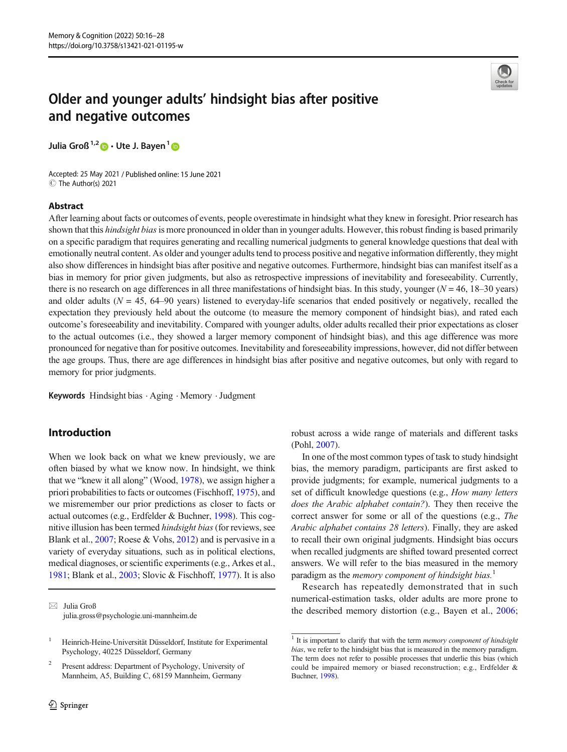

# Older and younger adults' hindsight bias after positive and negative outcomes

Julia Groß<sup>1,2</sup>  $\bullet$  · Ute J. Bayen<sup>1</sup>  $\bullet$ 

Accepted: 25 May 2021 / Published online: 15 June 2021 C The Author(s) 2021

## Abstract

After learning about facts or outcomes of events, people overestimate in hindsight what they knew in foresight. Prior research has shown that this *hindsight bias* is more pronounced in older than in younger adults. However, this robust finding is based primarily on a specific paradigm that requires generating and recalling numerical judgments to general knowledge questions that deal with emotionally neutral content. As older and younger adults tend to process positive and negative information differently, they might also show differences in hindsight bias after positive and negative outcomes. Furthermore, hindsight bias can manifest itself as a bias in memory for prior given judgments, but also as retrospective impressions of inevitability and foreseeability. Currently, there is no research on age differences in all three manifestations of hindsight bias. In this study, younger ( $N = 46$ , 18–30 years) and older adults ( $N = 45$ , 64–90 years) listened to everyday-life scenarios that ended positively or negatively, recalled the expectation they previously held about the outcome (to measure the memory component of hindsight bias), and rated each outcome's foreseeability and inevitability. Compared with younger adults, older adults recalled their prior expectations as closer to the actual outcomes (i.e., they showed a larger memory component of hindsight bias), and this age difference was more pronounced for negative than for positive outcomes. Inevitability and foreseeability impressions, however, did not differ between the age groups. Thus, there are age differences in hindsight bias after positive and negative outcomes, but only with regard to memory for prior judgments.

Keywords Hindsight bias . Aging . Memory .Judgment

## Introduction

When we look back on what we knew previously, we are often biased by what we know now. In hindsight, we think that we "knew it all along" (Wood, [1978](#page-12-0)), we assign higher a priori probabilities to facts or outcomes (Fischhoff, [1975](#page-11-0)), and we misremember our prior predictions as closer to facts or actual outcomes (e.g., Erdfelder & Buchner, [1998](#page-11-0)). This cognitive illusion has been termed *hindsight bias* (for reviews, see Blank et al., [2007](#page-10-0); Roese & Vohs, [2012](#page-11-0)) and is pervasive in a variety of everyday situations, such as in political elections, medical diagnoses, or scientific experiments (e.g., Arkes et al., [1981;](#page-10-0) Blank et al., [2003;](#page-10-0) Slovic & Fischhoff, [1977](#page-11-0)). It is also robust across a wide range of materials and different tasks (Pohl, [2007\)](#page-11-0).

In one of the most common types of task to study hindsight bias, the memory paradigm, participants are first asked to provide judgments; for example, numerical judgments to a set of difficult knowledge questions (e.g., How many letters does the Arabic alphabet contain?). They then receive the correct answer for some or all of the questions (e.g., The Arabic alphabet contains 28 letters). Finally, they are asked to recall their own original judgments. Hindsight bias occurs when recalled judgments are shifted toward presented correct answers. We will refer to the bias measured in the memory paradigm as the memory component of hindsight bias.<sup>1</sup>

Research has repeatedly demonstrated that in such numerical-estimation tasks, older adults are more prone to the described memory distortion (e.g., Bayen et al., [2006;](#page-10-0)

 $\boxtimes$  Julia Groß [julia.gross@psychologie.uni-mannheim.de](mailto:julia.gross@psychologie.uni-mannheim.de)

<sup>&</sup>lt;sup>1</sup> Heinrich-Heine-Universität Düsseldorf, Institute for Experimental Psychology, 40225 Düsseldorf, Germany

<sup>2</sup> Present address: Department of Psychology, University of Mannheim, A5, Building C, 68159 Mannheim, Germany

 $1$  It is important to clarify that with the term memory component of hindsight bias, we refer to the hindsight bias that is measured in the memory paradigm. The term does not refer to possible processes that underlie this bias (which could be impaired memory or biased reconstruction; e.g., Erdfelder & Buchner, [1998\)](#page-11-0).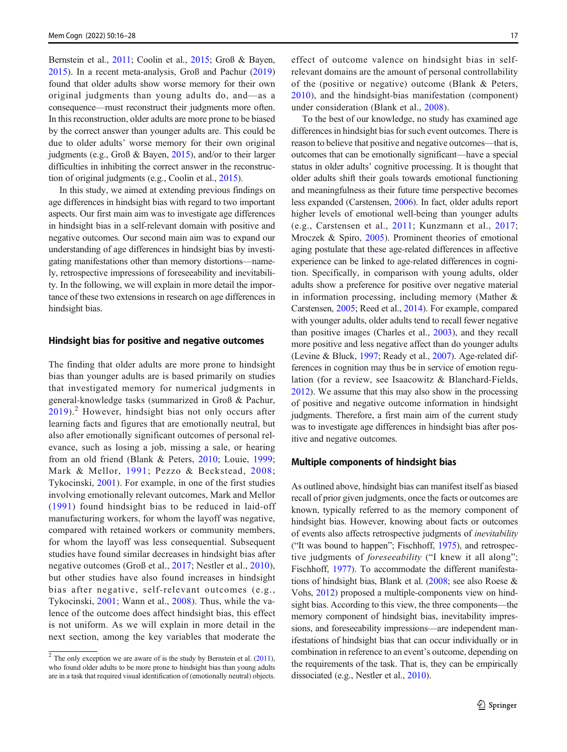Bernstein et al., [2011;](#page-10-0) Coolin et al., [2015](#page-10-0); Groß & Bayen, [2015](#page-11-0)). In a recent meta-analysis, Groß and Pachur ([2019\)](#page-11-0) found that older adults show worse memory for their own original judgments than young adults do, and—as a consequence—must reconstruct their judgments more often. In this reconstruction, older adults are more prone to be biased by the correct answer than younger adults are. This could be due to older adults' worse memory for their own original judgments (e.g., Groß & Bayen, [2015\)](#page-11-0), and/or to their larger difficulties in inhibiting the correct answer in the reconstruction of original judgments (e.g., Coolin et al., [2015\)](#page-10-0).

In this study, we aimed at extending previous findings on age differences in hindsight bias with regard to two important aspects. Our first main aim was to investigate age differences in hindsight bias in a self-relevant domain with positive and negative outcomes. Our second main aim was to expand our understanding of age differences in hindsight bias by investigating manifestations other than memory distortions—namely, retrospective impressions of foreseeability and inevitability. In the following, we will explain in more detail the importance of these two extensions in research on age differences in hindsight bias.

### Hindsight bias for positive and negative outcomes

The finding that older adults are more prone to hindsight bias than younger adults are is based primarily on studies that investigated memory for numerical judgments in general-knowledge tasks (summarized in Groß & Pachur,  $2019$ .<sup>2</sup> However, hindsight bias not only occurs after learning facts and figures that are emotionally neutral, but also after emotionally significant outcomes of personal relevance, such as losing a job, missing a sale, or hearing from an old friend (Blank & Peters, [2010;](#page-10-0) Louie, [1999](#page-11-0); Mark & Mellor, [1991](#page-11-0); Pezzo & Beckstead, [2008](#page-11-0); Tykocinski, [2001](#page-11-0)). For example, in one of the first studies involving emotionally relevant outcomes, Mark and Mellor ([1991](#page-11-0)) found hindsight bias to be reduced in laid-off manufacturing workers, for whom the layoff was negative, compared with retained workers or community members, for whom the layoff was less consequential. Subsequent studies have found similar decreases in hindsight bias after negative outcomes (Groß et al., [2017](#page-11-0); Nestler et al., [2010](#page-11-0)), but other studies have also found increases in hindsight bias after negative, self-relevant outcomes (e.g., Tykocinski, [2001;](#page-11-0) Wann et al., [2008](#page-11-0)). Thus, while the valence of the outcome does affect hindsight bias, this effect is not uniform. As we will explain in more detail in the next section, among the key variables that moderate the

effect of outcome valence on hindsight bias in selfrelevant domains are the amount of personal controllability of the (positive or negative) outcome (Blank & Peters, [2010\)](#page-10-0), and the hindsight-bias manifestation (component) under consideration (Blank et al., [2008](#page-10-0)).

To the best of our knowledge, no study has examined age differences in hindsight bias for such event outcomes. There is reason to believe that positive and negative outcomes—that is, outcomes that can be emotionally significant—have a special status in older adults' cognitive processing. It is thought that older adults shift their goals towards emotional functioning and meaningfulness as their future time perspective becomes less expanded (Carstensen, [2006\)](#page-10-0). In fact, older adults report higher levels of emotional well-being than younger adults (e.g., Carstensen et al., [2011;](#page-10-0) Kunzmann et al., [2017;](#page-11-0) Mroczek & Spiro, [2005\)](#page-11-0). Prominent theories of emotional aging postulate that these age-related differences in affective experience can be linked to age-related differences in cognition. Specifically, in comparison with young adults, older adults show a preference for positive over negative material in information processing, including memory (Mather & Carstensen, [2005](#page-11-0); Reed et al., [2014](#page-11-0)). For example, compared with younger adults, older adults tend to recall fewer negative than positive images (Charles et al., [2003](#page-10-0)), and they recall more positive and less negative affect than do younger adults (Levine & Bluck, [1997](#page-11-0); Ready et al., [2007\)](#page-11-0). Age-related differences in cognition may thus be in service of emotion regulation (for a review, see Isaacowitz & Blanchard-Fields, [2012\)](#page-11-0). We assume that this may also show in the processing of positive and negative outcome information in hindsight judgments. Therefore, a first main aim of the current study was to investigate age differences in hindsight bias after positive and negative outcomes.

#### Multiple components of hindsight bias

As outlined above, hindsight bias can manifest itself as biased recall of prior given judgments, once the facts or outcomes are known, typically referred to as the memory component of hindsight bias. However, knowing about facts or outcomes of events also affects retrospective judgments of inevitability ("It was bound to happen"; Fischhoff, [1975\)](#page-11-0), and retrospective judgments of *foreseeability* ("I knew it all along"; Fischhoff, [1977](#page-11-0)). To accommodate the different manifestations of hindsight bias, Blank et al. ([2008](#page-10-0); see also Roese & Vohs, [2012\)](#page-11-0) proposed a multiple-components view on hindsight bias. According to this view, the three components—the memory component of hindsight bias, inevitability impressions, and foreseeability impressions—are independent manifestations of hindsight bias that can occur individually or in combination in reference to an event's outcome, depending on the requirements of the task. That is, they can be empirically dissociated (e.g., Nestler et al., [2010\)](#page-11-0).

 $2$  The only exception we are aware of is the study by Bernstein et al. [\(2011\)](#page-10-0), who found older adults to be more prone to hindsight bias than young adults are in a task that required visual identification of (emotionally neutral) objects.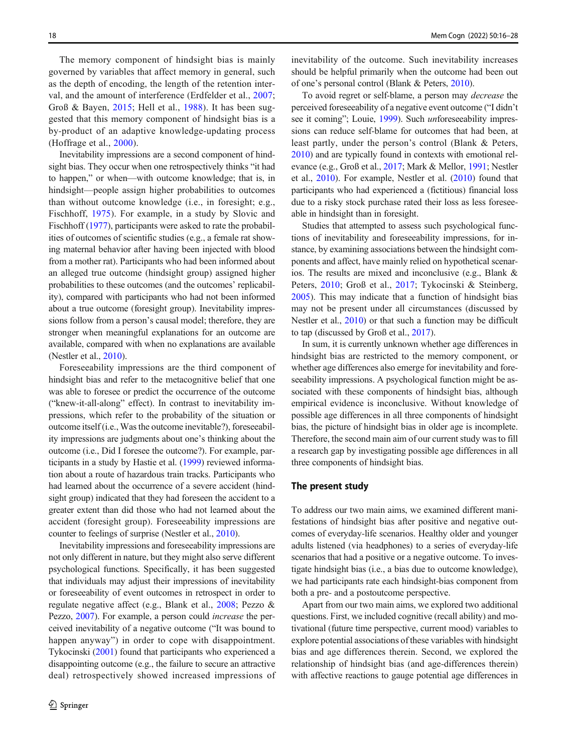The memory component of hindsight bias is mainly governed by variables that affect memory in general, such as the depth of encoding, the length of the retention interval, and the amount of interference (Erdfelder et al., [2007](#page-11-0); Groß & Bayen, [2015;](#page-11-0) Hell et al., [1988](#page-11-0)). It has been suggested that this memory component of hindsight bias is a by-product of an adaptive knowledge-updating process (Hoffrage et al., [2000\)](#page-11-0).

Inevitability impressions are a second component of hindsight bias. They occur when one retrospectively thinks "it had to happen," or when—with outcome knowledge; that is, in hindsight—people assign higher probabilities to outcomes than without outcome knowledge (i.e., in foresight; e.g., Fischhoff, [1975\)](#page-11-0). For example, in a study by Slovic and Fischhoff [\(1977](#page-11-0)), participants were asked to rate the probabilities of outcomes of scientific studies (e.g., a female rat showing maternal behavior after having been injected with blood from a mother rat). Participants who had been informed about an alleged true outcome (hindsight group) assigned higher probabilities to these outcomes (and the outcomes' replicability), compared with participants who had not been informed about a true outcome (foresight group). Inevitability impressions follow from a person's causal model; therefore, they are stronger when meaningful explanations for an outcome are available, compared with when no explanations are available (Nestler et al., [2010](#page-11-0)).

Foreseeability impressions are the third component of hindsight bias and refer to the metacognitive belief that one was able to foresee or predict the occurrence of the outcome ("knew-it-all-along" effect). In contrast to inevitability impressions, which refer to the probability of the situation or outcome itself (i.e., Was the outcome inevitable?), foreseeability impressions are judgments about one's thinking about the outcome (i.e., Did I foresee the outcome?). For example, participants in a study by Hastie et al. ([1999](#page-11-0)) reviewed information about a route of hazardous train tracks. Participants who had learned about the occurrence of a severe accident (hindsight group) indicated that they had foreseen the accident to a greater extent than did those who had not learned about the accident (foresight group). Foreseeability impressions are counter to feelings of surprise (Nestler et al., [2010\)](#page-11-0).

Inevitability impressions and foreseeability impressions are not only different in nature, but they might also serve different psychological functions. Specifically, it has been suggested that individuals may adjust their impressions of inevitability or foreseeability of event outcomes in retrospect in order to regulate negative affect (e.g., Blank et al., [2008;](#page-10-0) Pezzo & Pezzo, [2007](#page-11-0)). For example, a person could *increase* the perceived inevitability of a negative outcome ("It was bound to happen anyway") in order to cope with disappointment. Tykocinski [\(2001](#page-11-0)) found that participants who experienced a disappointing outcome (e.g., the failure to secure an attractive deal) retrospectively showed increased impressions of inevitability of the outcome. Such inevitability increases should be helpful primarily when the outcome had been out of one's personal control (Blank & Peters, [2010](#page-10-0)).

To avoid regret or self-blame, a person may decrease the perceived foreseeability of a negative event outcome ("I didn't see it coming"; Louie, [1999\)](#page-11-0). Such unforeseeability impressions can reduce self-blame for outcomes that had been, at least partly, under the person's control (Blank & Peters, [2010\)](#page-10-0) and are typically found in contexts with emotional relevance (e.g., Groß et al., [2017](#page-11-0); Mark & Mellor, [1991](#page-11-0); Nestler et al., [2010](#page-11-0)). For example, Nestler et al. [\(2010](#page-11-0)) found that participants who had experienced a (fictitious) financial loss due to a risky stock purchase rated their loss as less foreseeable in hindsight than in foresight.

Studies that attempted to assess such psychological functions of inevitability and foreseeability impressions, for instance, by examining associations between the hindsight components and affect, have mainly relied on hypothetical scenarios. The results are mixed and inconclusive (e.g., Blank & Peters, [2010](#page-10-0); Groß et al., [2017;](#page-11-0) Tykocinski & Steinberg, [2005](#page-11-0)). This may indicate that a function of hindsight bias may not be present under all circumstances (discussed by Nestler et al., [2010\)](#page-11-0) or that such a function may be difficult to tap (discussed by Groß et al., [2017](#page-11-0)).

In sum, it is currently unknown whether age differences in hindsight bias are restricted to the memory component, or whether age differences also emerge for inevitability and foreseeability impressions. A psychological function might be associated with these components of hindsight bias, although empirical evidence is inconclusive. Without knowledge of possible age differences in all three components of hindsight bias, the picture of hindsight bias in older age is incomplete. Therefore, the second main aim of our current study was to fill a research gap by investigating possible age differences in all three components of hindsight bias.

#### The present study

To address our two main aims, we examined different manifestations of hindsight bias after positive and negative outcomes of everyday-life scenarios. Healthy older and younger adults listened (via headphones) to a series of everyday-life scenarios that had a positive or a negative outcome. To investigate hindsight bias (i.e., a bias due to outcome knowledge), we had participants rate each hindsight-bias component from both a pre- and a postoutcome perspective.

Apart from our two main aims, we explored two additional questions. First, we included cognitive (recall ability) and motivational (future time perspective, current mood) variables to explore potential associations of these variables with hindsight bias and age differences therein. Second, we explored the relationship of hindsight bias (and age-differences therein) with affective reactions to gauge potential age differences in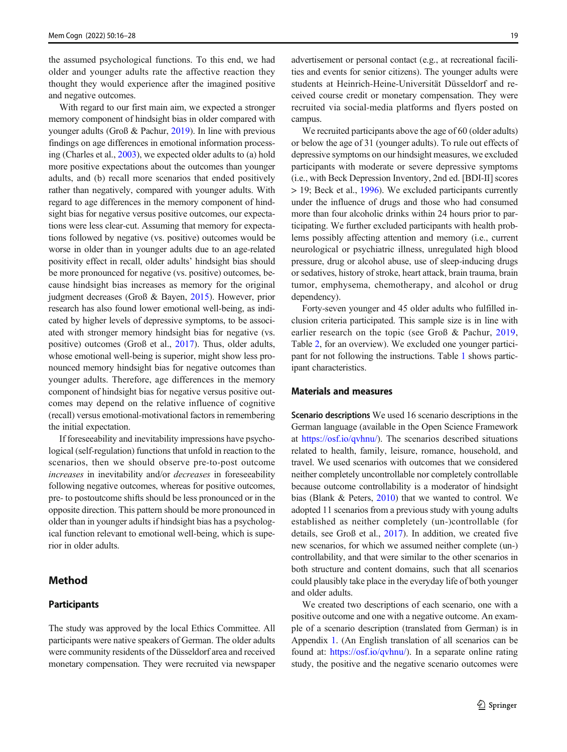the assumed psychological functions. To this end, we had older and younger adults rate the affective reaction they thought they would experience after the imagined positive and negative outcomes.

With regard to our first main aim, we expected a stronger memory component of hindsight bias in older compared with younger adults (Groß & Pachur, [2019](#page-11-0)). In line with previous findings on age differences in emotional information processing (Charles et al., [2003](#page-10-0)), we expected older adults to (a) hold more positive expectations about the outcomes than younger adults, and (b) recall more scenarios that ended positively rather than negatively, compared with younger adults. With regard to age differences in the memory component of hindsight bias for negative versus positive outcomes, our expectations were less clear-cut. Assuming that memory for expectations followed by negative (vs. positive) outcomes would be worse in older than in younger adults due to an age-related positivity effect in recall, older adults' hindsight bias should be more pronounced for negative (vs. positive) outcomes, because hindsight bias increases as memory for the original judgment decreases (Groß & Bayen, [2015\)](#page-11-0). However, prior research has also found lower emotional well-being, as indicated by higher levels of depressive symptoms, to be associated with stronger memory hindsight bias for negative (vs. positive) outcomes (Groß et al., [2017\)](#page-11-0). Thus, older adults, whose emotional well-being is superior, might show less pronounced memory hindsight bias for negative outcomes than younger adults. Therefore, age differences in the memory component of hindsight bias for negative versus positive outcomes may depend on the relative influence of cognitive (recall) versus emotional-motivational factors in remembering the initial expectation.

If foreseeability and inevitability impressions have psychological (self-regulation) functions that unfold in reaction to the scenarios, then we should observe pre-to-post outcome increases in inevitability and/or *decreases* in foreseeability following negative outcomes, whereas for positive outcomes, pre- to postoutcome shifts should be less pronounced or in the opposite direction. This pattern should be more pronounced in older than in younger adults if hindsight bias has a psychological function relevant to emotional well-being, which is superior in older adults.

## Method

### Participants

The study was approved by the local Ethics Committee. All participants were native speakers of German. The older adults were community residents of the Düsseldorf area and received monetary compensation. They were recruited via newspaper advertisement or personal contact (e.g., at recreational facilities and events for senior citizens). The younger adults were students at Heinrich-Heine-Universität Düsseldorf and received course credit or monetary compensation. They were recruited via social-media platforms and flyers posted on campus.

We recruited participants above the age of 60 (older adults) or below the age of 31 (younger adults). To rule out effects of depressive symptoms on our hindsight measures, we excluded participants with moderate or severe depressive symptoms (i.e., with Beck Depression Inventory, 2nd ed. [BDI-II] scores > 19; Beck et al., [1996\)](#page-10-0). We excluded participants currently under the influence of drugs and those who had consumed more than four alcoholic drinks within 24 hours prior to participating. We further excluded participants with health problems possibly affecting attention and memory (i.e., current neurological or psychiatric illness, unregulated high blood pressure, drug or alcohol abuse, use of sleep-inducing drugs or sedatives, history of stroke, heart attack, brain trauma, brain tumor, emphysema, chemotherapy, and alcohol or drug dependency).

Forty-seven younger and 45 older adults who fulfilled inclusion criteria participated. This sample size is in line with earlier research on the topic (see Groß & Pachur, [2019,](#page-11-0) Table [2,](#page-6-0) for an overview). We excluded one younger participant for not following the instructions. Table [1](#page-4-0) shows participant characteristics.

#### Materials and measures

Scenario descriptions We used 16 scenario descriptions in the German language (available in the Open Science Framework at <https://osf.io/qvhnu/>). The scenarios described situations related to health, family, leisure, romance, household, and travel. We used scenarios with outcomes that we considered neither completely uncontrollable nor completely controllable because outcome controllability is a moderator of hindsight bias (Blank & Peters, [2010](#page-10-0)) that we wanted to control. We adopted 11 scenarios from a previous study with young adults established as neither completely (un-)controllable (for details, see Groß et al., [2017](#page-11-0)). In addition, we created five new scenarios, for which we assumed neither complete (un-) controllability, and that were similar to the other scenarios in both structure and content domains, such that all scenarios could plausibly take place in the everyday life of both younger and older adults.

We created two descriptions of each scenario, one with a positive outcome and one with a negative outcome. An example of a scenario description (translated from German) is in Appendix [1.](#page-9-0) (An English translation of all scenarios can be found at: [https://osf.io/qvhnu/\)](https://osf.io/qvhnu/). In a separate online rating study, the positive and the negative scenario outcomes were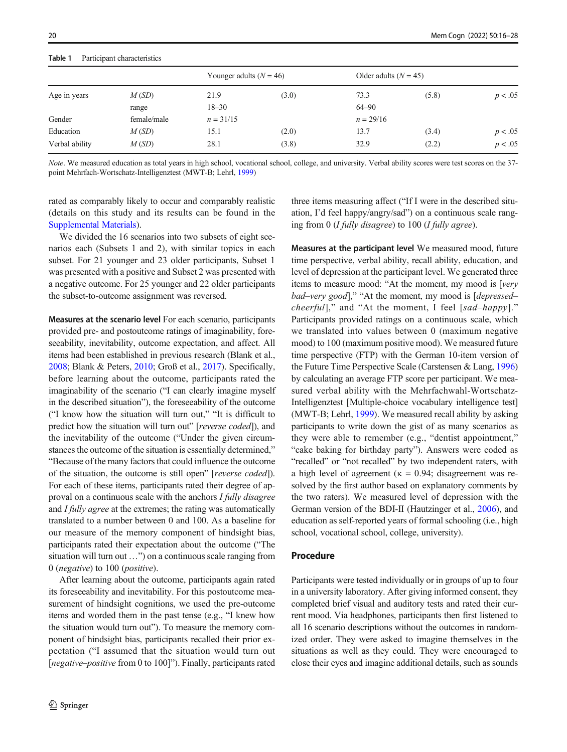#### <span id="page-4-0"></span>Table 1 Participant characteristics

| Age in years   | M(SD)       | Younger adults $(N = 46)$ |       | Older adults $(N = 45)$ |       |         |
|----------------|-------------|---------------------------|-------|-------------------------|-------|---------|
|                |             | 21.9                      | (3.0) | 73.3                    | (5.8) | p < .05 |
|                | range       | $18 - 30$                 |       | $64 - 90$               |       |         |
| Gender         | female/male | $n = 31/15$               |       | $n = 29/16$             |       |         |
| Education      | M(SD)       | 15.1                      | (2.0) | 13.7                    | (3.4) | p < .05 |
| Verbal ability | M(SD)       | 28.1                      | (3.8) | 32.9                    | (2.2) | p < .05 |

Note. We measured education as total years in high school, vocational school, college, and university. Verbal ability scores were test scores on the 37 point Mehrfach-Wortschatz-Intelligenztest (MWT-B; Lehrl, [1999](#page-11-0))

rated as comparably likely to occur and comparably realistic (details on this study and its results can be found in the [Supplemental Materials](#page-10-0)).

We divided the 16 scenarios into two subsets of eight scenarios each (Subsets 1 and 2), with similar topics in each subset. For 21 younger and 23 older participants, Subset 1 was presented with a positive and Subset 2 was presented with a negative outcome. For 25 younger and 22 older participants the subset-to-outcome assignment was reversed.

Measures at the scenario level For each scenario, participants provided pre- and postoutcome ratings of imaginability, foreseeability, inevitability, outcome expectation, and affect. All items had been established in previous research (Blank et al., [2008;](#page-10-0) Blank & Peters, [2010;](#page-10-0) Groß et al., [2017](#page-11-0)). Specifically, before learning about the outcome, participants rated the imaginability of the scenario ("I can clearly imagine myself in the described situation"), the foreseeability of the outcome ("I know how the situation will turn out," "It is difficult to predict how the situation will turn out" [reverse coded]), and the inevitability of the outcome ("Under the given circumstances the outcome of the situation is essentially determined," "Because of the many factors that could influence the outcome of the situation, the outcome is still open" [reverse coded]). For each of these items, participants rated their degree of approval on a continuous scale with the anchors I fully disagree and *I fully agree* at the extremes; the rating was automatically translated to a number between 0 and 100. As a baseline for our measure of the memory component of hindsight bias, participants rated their expectation about the outcome ("The situation will turn out …") on a continuous scale ranging from 0 (negative) to 100 (positive).

After learning about the outcome, participants again rated its foreseeability and inevitability. For this postoutcome measurement of hindsight cognitions, we used the pre-outcome items and worded them in the past tense (e.g., "I knew how the situation would turn out"). To measure the memory component of hindsight bias, participants recalled their prior expectation ("I assumed that the situation would turn out [negative–positive from 0 to 100]"). Finally, participants rated three items measuring affect ("If I were in the described situation, I'd feel happy/angry/sad") on a continuous scale ranging from 0 (*I fully disagree*) to 100 (*I fully agree*).

Measures at the participant level We measured mood, future time perspective, verbal ability, recall ability, education, and level of depression at the participant level. We generated three items to measure mood: "At the moment, my mood is [very bad-very good]," "At the moment, my mood is [depressedcheerful]," and "At the moment, I feel [sad–happy]." Participants provided ratings on a continuous scale, which we translated into values between 0 (maximum negative mood) to 100 (maximum positive mood). We measured future time perspective (FTP) with the German 10-item version of the Future Time Perspective Scale (Carstensen & Lang, [1996](#page-10-0)) by calculating an average FTP score per participant. We measured verbal ability with the Mehrfachwahl-Wortschatz-Intelligenztest [Multiple-choice vocabulary intelligence test] (MWT-B; Lehrl, [1999](#page-11-0)). We measured recall ability by asking participants to write down the gist of as many scenarios as they were able to remember (e.g., "dentist appointment," "cake baking for birthday party"). Answers were coded as "recalled" or "not recalled" by two independent raters, with a high level of agreement ( $\kappa = 0.94$ ; disagreement was resolved by the first author based on explanatory comments by the two raters). We measured level of depression with the German version of the BDI-II (Hautzinger et al., [2006](#page-11-0)), and education as self-reported years of formal schooling (i.e., high school, vocational school, college, university).

#### Procedure

Participants were tested individually or in groups of up to four in a university laboratory. After giving informed consent, they completed brief visual and auditory tests and rated their current mood. Via headphones, participants then first listened to all 16 scenario descriptions without the outcomes in randomized order. They were asked to imagine themselves in the situations as well as they could. They were encouraged to close their eyes and imagine additional details, such as sounds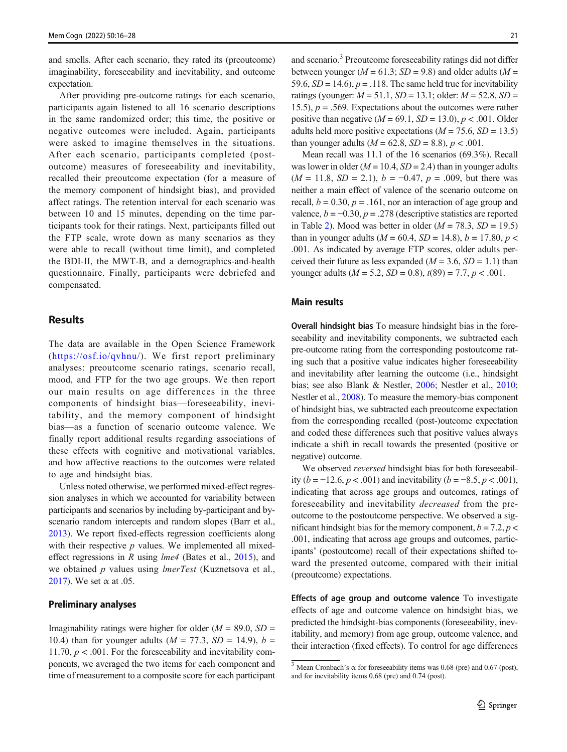and smells. After each scenario, they rated its (preoutcome) imaginability, foreseeability and inevitability, and outcome expectation.

After providing pre-outcome ratings for each scenario, participants again listened to all 16 scenario descriptions in the same randomized order; this time, the positive or negative outcomes were included. Again, participants were asked to imagine themselves in the situations. After each scenario, participants completed (postoutcome) measures of foreseeability and inevitability, recalled their preoutcome expectation (for a measure of the memory component of hindsight bias), and provided affect ratings. The retention interval for each scenario was between 10 and 15 minutes, depending on the time participants took for their ratings. Next, participants filled out the FTP scale, wrote down as many scenarios as they were able to recall (without time limit), and completed the BDI-II, the MWT-B, and a demographics-and-health questionnaire. Finally, participants were debriefed and compensated.

## Results

The data are available in the Open Science Framework ([https://osf.io/qvhnu/\)](https://osf.io/qvhnu/). We first report preliminary analyses: preoutcome scenario ratings, scenario recall, mood, and FTP for the two age groups. We then report our main results on age differences in the three components of hindsight bias—foreseeability, inevitability, and the memory component of hindsight bias—as a function of scenario outcome valence. We finally report additional results regarding associations of these effects with cognitive and motivational variables, and how affective reactions to the outcomes were related to age and hindsight bias.

Unless noted otherwise, we performed mixed-effect regression analyses in which we accounted for variability between participants and scenarios by including by-participant and byscenario random intercepts and random slopes (Barr et al., [2013\)](#page-10-0). We report fixed-effects regression coefficients along with their respective  $p$  values. We implemented all mixedeffect regressions in R using lme4 (Bates et al., [2015\)](#page-10-0), and we obtained  $p$  values using *lmerTest* (Kuznetsova et al., [2017\)](#page-11-0). We set  $\alpha$  at .05.

## Preliminary analyses

Imaginability ratings were higher for older  $(M = 89.0, SD =$ 10.4) than for younger adults ( $M = 77.3$ ,  $SD = 14.9$ ),  $b =$ 11.70,  $p < .001$ . For the foreseeability and inevitability components, we averaged the two items for each component and time of measurement to a composite score for each participant

and scenario.<sup>3</sup> Preoutcome foreseeability ratings did not differ between younger ( $M = 61.3$ ;  $SD = 9.8$ ) and older adults ( $M =$ 59.6,  $SD = 14.6$ ,  $p = .118$ . The same held true for inevitability ratings (younger:  $M = 51.1$ ,  $SD = 13.1$ ; older:  $M = 52.8$ ,  $SD =$ 15.5),  $p = .569$ . Expectations about the outcomes were rather positive than negative ( $M = 69.1$ ,  $SD = 13.0$ ),  $p < .001$ . Older adults held more positive expectations ( $M = 75.6$ ,  $SD = 13.5$ ) than younger adults ( $M = 62.8$ ,  $SD = 8.8$ ),  $p < .001$ .

Mean recall was 11.1 of the 16 scenarios (69.3%). Recall was lower in older ( $M = 10.4$ ,  $SD = 2.4$ ) than in younger adults  $(M = 11.8, SD = 2.1), b = -0.47, p = .009$ , but there was neither a main effect of valence of the scenario outcome on recall,  $b = 0.30$ ,  $p = .161$ , nor an interaction of age group and valence,  $b = -0.30$ ,  $p = .278$  (descriptive statistics are reported in Table [2](#page-6-0)). Mood was better in older ( $M = 78.3$ ,  $SD = 19.5$ ) than in younger adults ( $M = 60.4$ ,  $SD = 14.8$ ),  $b = 17.80$ ,  $p <$ .001. As indicated by average FTP scores, older adults perceived their future as less expanded ( $M = 3.6$ ,  $SD = 1.1$ ) than younger adults ( $M = 5.2$ ,  $SD = 0.8$ ),  $t(89) = 7.7$ ,  $p < .001$ .

#### Main results

Overall hindsight bias To measure hindsight bias in the foreseeability and inevitability components, we subtracted each pre-outcome rating from the corresponding postoutcome rating such that a positive value indicates higher foreseeability and inevitability after learning the outcome (i.e., hindsight bias; see also Blank & Nestler, [2006;](#page-10-0) Nestler et al., [2010;](#page-11-0) Nestler et al., [2008\)](#page-11-0). To measure the memory-bias component of hindsight bias, we subtracted each preoutcome expectation from the corresponding recalled (post-)outcome expectation and coded these differences such that positive values always indicate a shift in recall towards the presented (positive or negative) outcome.

We observed *reversed* hindsight bias for both foreseeability (*b* = −12.6, *p* < .001) and inevitability (*b* = −8.5, *p* < .001), indicating that across age groups and outcomes, ratings of foreseeability and inevitability decreased from the preoutcome to the postoutcome perspective. We observed a significant hindsight bias for the memory component,  $b = 7.2$ ,  $p <$ .001, indicating that across age groups and outcomes, participants' (postoutcome) recall of their expectations shifted toward the presented outcome, compared with their initial (preoutcome) expectations.

Effects of age group and outcome valence To investigate effects of age and outcome valence on hindsight bias, we predicted the hindsight-bias components (foreseeability, inevitability, and memory) from age group, outcome valence, and their interaction (fixed effects). To control for age differences

<sup>&</sup>lt;sup>3</sup> Mean Cronbach's  $\alpha$  for foreseeability items was 0.68 (pre) and 0.67 (post), and for inevitability items 0.68 (pre) and 0.74 (post).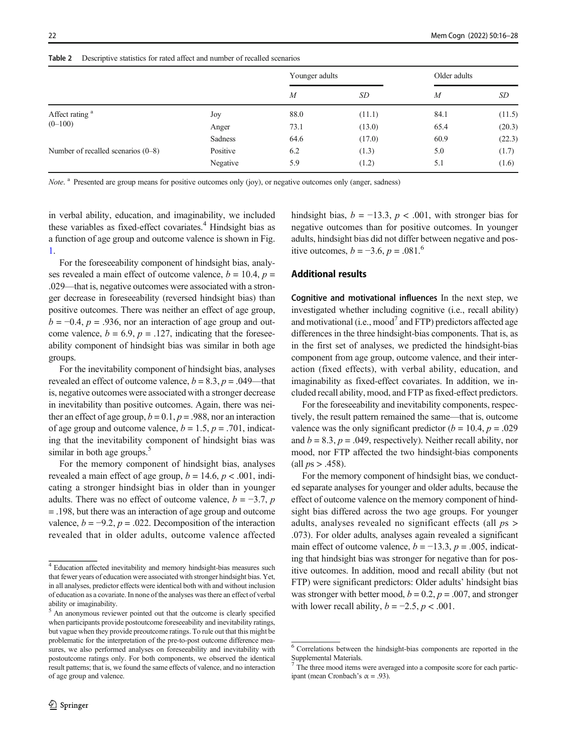|                                      |          | Younger adults   |        | Older adults |        |
|--------------------------------------|----------|------------------|--------|--------------|--------|
|                                      |          | $\boldsymbol{M}$ | SD     | M            | SD     |
| Affect rating <sup>a</sup>           | Joy      | 88.0             | (11.1) | 84.1         | (11.5) |
| $(0-100)$                            | Anger    | 73.1             | (13.0) | 65.4         | (20.3) |
|                                      | Sadness  | 64.6             | (17.0) | 60.9         | (22.3) |
| Number of recalled scenarios $(0-8)$ | Positive | 6.2              | (1.3)  | 5.0          | (1.7)  |
|                                      | Negative | 5.9              | (1.2)  | 5.1          | (1.6)  |

<span id="page-6-0"></span>Table 2 Descriptive statistics for rated affect and number of recalled scenarios

Note. <sup>a</sup> Presented are group means for positive outcomes only (joy), or negative outcomes only (anger, sadness)

in verbal ability, education, and imaginability, we included these variables as fixed-effect covariates.<sup>4</sup> Hindsight bias as a function of age group and outcome valence is shown in Fig. [1.](#page-7-0)

For the foreseeability component of hindsight bias, analyses revealed a main effect of outcome valence,  $b = 10.4$ ,  $p =$ .029—that is, negative outcomes were associated with a stronger decrease in foreseeability (reversed hindsight bias) than positive outcomes. There was neither an effect of age group,  $b = -0.4$ ,  $p = .936$ , nor an interaction of age group and outcome valence,  $b = 6.9$ ,  $p = .127$ , indicating that the foreseeability component of hindsight bias was similar in both age groups.

For the inevitability component of hindsight bias, analyses revealed an effect of outcome valence,  $b = 8.3$ ,  $p = .049$ —that is, negative outcomes were associated with a stronger decrease in inevitability than positive outcomes. Again, there was neither an effect of age group,  $b = 0.1$ ,  $p = .988$ , nor an interaction of age group and outcome valence,  $b = 1.5$ ,  $p = .701$ , indicating that the inevitability component of hindsight bias was similar in both age groups. $5$ 

For the memory component of hindsight bias, analyses revealed a main effect of age group,  $b = 14.6$ ,  $p < .001$ , indicating a stronger hindsight bias in older than in younger adults. There was no effect of outcome valence,  $b = -3.7$ , p = .198, but there was an interaction of age group and outcome valence,  $b = -9.2$ ,  $p = .022$ . Decomposition of the interaction revealed that in older adults, outcome valence affected hindsight bias,  $b = -13.3$ ,  $p < .001$ , with stronger bias for negative outcomes than for positive outcomes. In younger adults, hindsight bias did not differ between negative and positive outcomes,  $b = -3.6$ ,  $p = .081$ .<sup>6</sup>

### Additional results

Cognitive and motivational influences In the next step, we investigated whether including cognitive (i.e., recall ability) and motivational (i.e.,  $\text{mod}^7$  and FTP) predictors affected age differences in the three hindsight-bias components. That is, as in the first set of analyses, we predicted the hindsight-bias component from age group, outcome valence, and their interaction (fixed effects), with verbal ability, education, and imaginability as fixed-effect covariates. In addition, we included recall ability, mood, and FTP as fixed-effect predictors.

For the foreseeability and inevitability components, respectively, the result pattern remained the same—that is, outcome valence was the only significant predictor ( $b = 10.4$ ,  $p = .029$ ) and  $b = 8.3$ ,  $p = .049$ , respectively). Neither recall ability, nor mood, nor FTP affected the two hindsight-bias components (all  $ps > .458$ ).

For the memory component of hindsight bias, we conducted separate analyses for younger and older adults, because the effect of outcome valence on the memory component of hindsight bias differed across the two age groups. For younger adults, analyses revealed no significant effects (all ps > .073). For older adults, analyses again revealed a significant main effect of outcome valence,  $b = -13.3$ ,  $p = .005$ , indicating that hindsight bias was stronger for negative than for positive outcomes. In addition, mood and recall ability (but not FTP) were significant predictors: Older adults' hindsight bias was stronger with better mood,  $b = 0.2$ ,  $p = .007$ , and stronger with lower recall ability,  $b = -2.5$ ,  $p < .001$ .

<sup>4</sup> Education affected inevitability and memory hindsight-bias measures such that fewer years of education were associated with stronger hindsight bias. Yet, in all analyses, predictor effects were identical both with and without inclusion of education as a covariate. In none of the analyses was there an effect of verbal ability or imaginability.

<sup>&</sup>lt;sup>5</sup> An anonymous reviewer pointed out that the outcome is clearly specified when participants provide postoutcome foreseeability and inevitability ratings, but vague when they provide preoutcome ratings. To rule out that this might be problematic for the interpretation of the pre-to-post outcome difference measures, we also performed analyses on foreseeability and inevitability with postoutcome ratings only. For both components, we observed the identical result patterns; that is, we found the same effects of valence, and no interaction of age group and valence.

<sup>6</sup> Correlations between the hindsight-bias components are reported in the Supplemental Materials.

The three mood items were averaged into a composite score for each participant (mean Cronbach's  $\alpha$  = .93).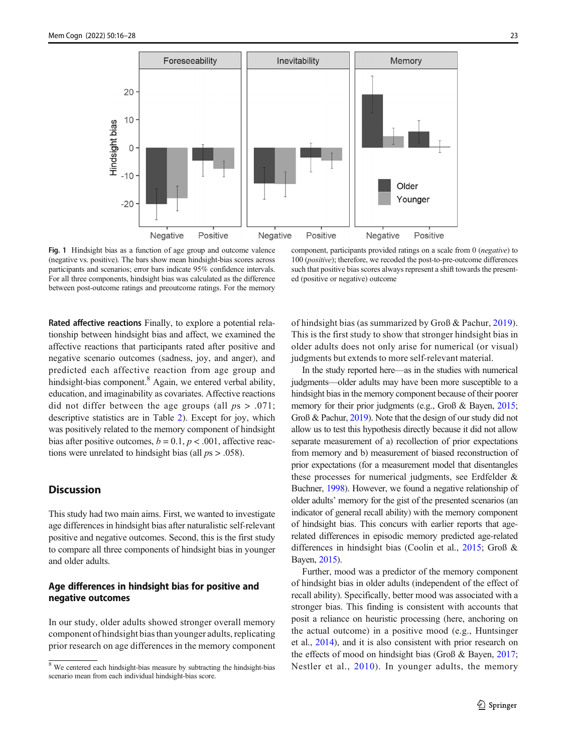<span id="page-7-0"></span>

Fig. 1 Hindsight bias as a function of age group and outcome valence (negative vs. positive). The bars show mean hindsight-bias scores across participants and scenarios; error bars indicate 95% confidence intervals. For all three components, hindsight bias was calculated as the difference between post-outcome ratings and preoutcome ratings. For the memory

component, participants provided ratings on a scale from 0 (negative) to 100 (positive); therefore, we recoded the post-to-pre-outcome differences such that positive bias scores always represent a shift towards the presented (positive or negative) outcome

Rated affective reactions Finally, to explore a potential relationship between hindsight bias and affect, we examined the affective reactions that participants rated after positive and negative scenario outcomes (sadness, joy, and anger), and predicted each affective reaction from age group and hindsight-bias component.<sup>8</sup> Again, we entered verbal ability, education, and imaginability as covariates. Affective reactions did not differ between the age groups (all  $ps > .071$ ; descriptive statistics are in Table [2\)](#page-6-0). Except for joy, which was positively related to the memory component of hindsight bias after positive outcomes,  $b = 0.1$ ,  $p < .001$ , affective reactions were unrelated to hindsight bias (all  $ps > .058$ ).

## **Discussion**

This study had two main aims. First, we wanted to investigate age differences in hindsight bias after naturalistic self-relevant positive and negative outcomes. Second, this is the first study to compare all three components of hindsight bias in younger and older adults.

## Age differences in hindsight bias for positive and negative outcomes

In our study, older adults showed stronger overall memory component of hindsight bias than younger adults, replicating prior research on age differences in the memory component of hindsight bias (as summarized by Groß & Pachur, [2019](#page-11-0)). This is the first study to show that stronger hindsight bias in older adults does not only arise for numerical (or visual) judgments but extends to more self-relevant material.

In the study reported here—as in the studies with numerical judgments—older adults may have been more susceptible to a hindsight bias in the memory component because of their poorer memory for their prior judgments (e.g., Groß & Bayen, [2015;](#page-11-0) Groß & Pachur, [2019\)](#page-11-0). Note that the design of our study did not allow us to test this hypothesis directly because it did not allow separate measurement of a) recollection of prior expectations from memory and b) measurement of biased reconstruction of prior expectations (for a measurement model that disentangles these processes for numerical judgments, see Erdfelder & Buchner, [1998](#page-11-0)). However, we found a negative relationship of older adults' memory for the gist of the presented scenarios (an indicator of general recall ability) with the memory component of hindsight bias. This concurs with earlier reports that agerelated differences in episodic memory predicted age-related differences in hindsight bias (Coolin et al., [2015;](#page-10-0) Groß & Bayen, [2015](#page-11-0)).

Further, mood was a predictor of the memory component of hindsight bias in older adults (independent of the effect of recall ability). Specifically, better mood was associated with a stronger bias. This finding is consistent with accounts that posit a reliance on heuristic processing (here, anchoring on the actual outcome) in a positive mood (e.g., Huntsinger et al., [2014\)](#page-11-0), and it is also consistent with prior research on the effects of mood on hindsight bias (Groß & Bayen, [2017;](#page-11-0) Nestler et al., [2010\)](#page-11-0). In younger adults, the memory

<sup>&</sup>lt;sup>8</sup> We centered each hindsight-bias measure by subtracting the hindsight-bias scenario mean from each individual hindsight-bias score.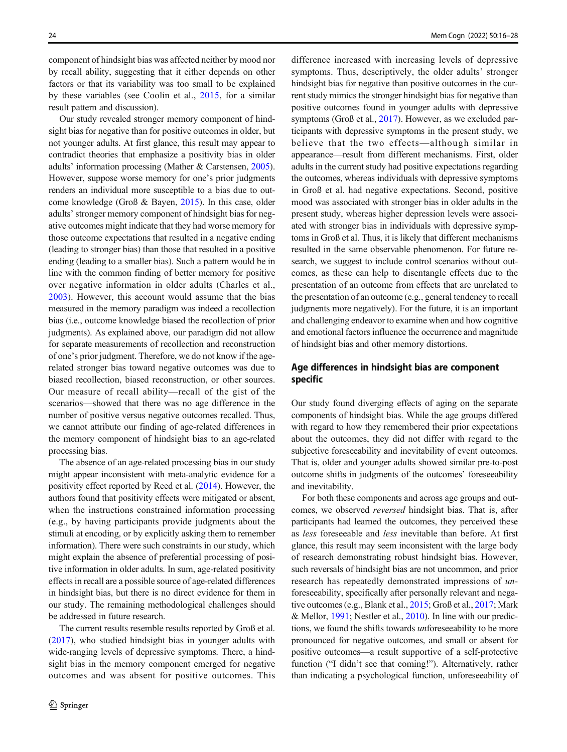component of hindsight bias was affected neither by mood nor by recall ability, suggesting that it either depends on other factors or that its variability was too small to be explained by these variables (see Coolin et al., [2015,](#page-10-0) for a similar result pattern and discussion).

Our study revealed stronger memory component of hindsight bias for negative than for positive outcomes in older, but not younger adults. At first glance, this result may appear to contradict theories that emphasize a positivity bias in older adults' information processing (Mather & Carstensen, [2005\)](#page-11-0). However, suppose worse memory for one's prior judgments renders an individual more susceptible to a bias due to outcome knowledge (Groß & Bayen, [2015](#page-11-0)). In this case, older adults' stronger memory component of hindsight bias for negative outcomes might indicate that they had worse memory for those outcome expectations that resulted in a negative ending (leading to stronger bias) than those that resulted in a positive ending (leading to a smaller bias). Such a pattern would be in line with the common finding of better memory for positive over negative information in older adults (Charles et al., [2003](#page-10-0)). However, this account would assume that the bias measured in the memory paradigm was indeed a recollection bias (i.e., outcome knowledge biased the recollection of prior judgments). As explained above, our paradigm did not allow for separate measurements of recollection and reconstruction of one's prior judgment. Therefore, we do not know if the agerelated stronger bias toward negative outcomes was due to biased recollection, biased reconstruction, or other sources. Our measure of recall ability—recall of the gist of the scenarios—showed that there was no age difference in the number of positive versus negative outcomes recalled. Thus, we cannot attribute our finding of age-related differences in the memory component of hindsight bias to an age-related processing bias.

The absence of an age-related processing bias in our study might appear inconsistent with meta-analytic evidence for a positivity effect reported by Reed et al. ([2014](#page-11-0)). However, the authors found that positivity effects were mitigated or absent, when the instructions constrained information processing (e.g., by having participants provide judgments about the stimuli at encoding, or by explicitly asking them to remember information). There were such constraints in our study, which might explain the absence of preferential processing of positive information in older adults. In sum, age-related positivity effects in recall are a possible source of age-related differences in hindsight bias, but there is no direct evidence for them in our study. The remaining methodological challenges should be addressed in future research.

The current results resemble results reported by Groß et al. [\(2017](#page-11-0)), who studied hindsight bias in younger adults with wide-ranging levels of depressive symptoms. There, a hindsight bias in the memory component emerged for negative outcomes and was absent for positive outcomes. This difference increased with increasing levels of depressive symptoms. Thus, descriptively, the older adults' stronger hindsight bias for negative than positive outcomes in the current study mimics the stronger hindsight bias for negative than positive outcomes found in younger adults with depressive symptoms (Groß et al., [2017\)](#page-11-0). However, as we excluded participants with depressive symptoms in the present study, we believe that the two effects—although similar in appearance—result from different mechanisms. First, older adults in the current study had positive expectations regarding the outcomes, whereas individuals with depressive symptoms in Groß et al. had negative expectations. Second, positive mood was associated with stronger bias in older adults in the present study, whereas higher depression levels were associated with stronger bias in individuals with depressive symptoms in Groß et al. Thus, it is likely that different mechanisms resulted in the same observable phenomenon. For future research, we suggest to include control scenarios without outcomes, as these can help to disentangle effects due to the presentation of an outcome from effects that are unrelated to the presentation of an outcome (e.g., general tendency to recall judgments more negatively). For the future, it is an important and challenging endeavor to examine when and how cognitive and emotional factors influence the occurrence and magnitude of hindsight bias and other memory distortions.

## Age differences in hindsight bias are component specific

Our study found diverging effects of aging on the separate components of hindsight bias. While the age groups differed with regard to how they remembered their prior expectations about the outcomes, they did not differ with regard to the subjective foreseeability and inevitability of event outcomes. That is, older and younger adults showed similar pre-to-post outcome shifts in judgments of the outcomes' foreseeability and inevitability.

For both these components and across age groups and outcomes, we observed reversed hindsight bias. That is, after participants had learned the outcomes, they perceived these as less foreseeable and less inevitable than before. At first glance, this result may seem inconsistent with the large body of research demonstrating robust hindsight bias. However, such reversals of hindsight bias are not uncommon, and prior research has repeatedly demonstrated impressions of unforeseeability, specifically after personally relevant and negative outcomes (e.g., Blank et al., [2015](#page-10-0); Groß et al., [2017;](#page-11-0) Mark & Mellor, [1991](#page-11-0); Nestler et al., [2010\)](#page-11-0). In line with our predictions, we found the shifts towards unforeseeability to be more pronounced for negative outcomes, and small or absent for positive outcomes—a result supportive of a self-protective function ("I didn't see that coming!"). Alternatively, rather than indicating a psychological function, unforeseeability of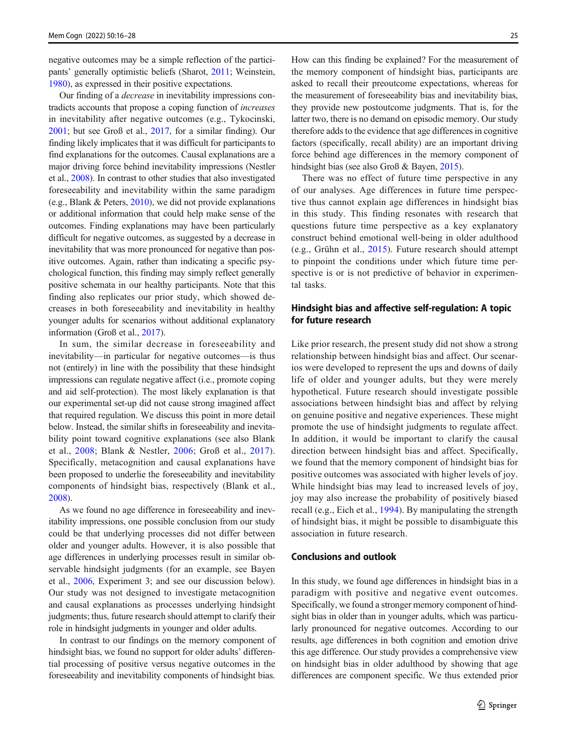<span id="page-9-0"></span>negative outcomes may be a simple reflection of the participants' generally optimistic beliefs (Sharot, [2011;](#page-11-0) Weinstein, [1980\)](#page-12-0), as expressed in their positive expectations.

Our finding of a decrease in inevitability impressions contradicts accounts that propose a coping function of increases in inevitability after negative outcomes (e.g., Tykocinski, [2001;](#page-11-0) but see Groß et al., [2017,](#page-11-0) for a similar finding). Our finding likely implicates that it was difficult for participants to find explanations for the outcomes. Causal explanations are a major driving force behind inevitability impressions (Nestler et al., [2008](#page-11-0)). In contrast to other studies that also investigated foreseeability and inevitability within the same paradigm (e.g., Blank & Peters, [2010\)](#page-10-0), we did not provide explanations or additional information that could help make sense of the outcomes. Finding explanations may have been particularly difficult for negative outcomes, as suggested by a decrease in inevitability that was more pronounced for negative than positive outcomes. Again, rather than indicating a specific psychological function, this finding may simply reflect generally positive schemata in our healthy participants. Note that this finding also replicates our prior study, which showed decreases in both foreseeability and inevitability in healthy younger adults for scenarios without additional explanatory information (Groß et al., [2017](#page-11-0)).

In sum, the similar decrease in foreseeability and inevitability—in particular for negative outcomes—is thus not (entirely) in line with the possibility that these hindsight impressions can regulate negative affect (i.e., promote coping and aid self-protection). The most likely explanation is that our experimental set-up did not cause strong imagined affect that required regulation. We discuss this point in more detail below. Instead, the similar shifts in foreseeability and inevitability point toward cognitive explanations (see also Blank et al., [2008](#page-10-0); Blank & Nestler, [2006](#page-10-0); Groß et al., [2017](#page-11-0)). Specifically, metacognition and causal explanations have been proposed to underlie the foreseeability and inevitability components of hindsight bias, respectively (Blank et al., [2008\)](#page-10-0).

As we found no age difference in foreseeability and inevitability impressions, one possible conclusion from our study could be that underlying processes did not differ between older and younger adults. However, it is also possible that age differences in underlying processes result in similar observable hindsight judgments (for an example, see Bayen et al., [2006](#page-10-0), Experiment 3; and see our discussion below). Our study was not designed to investigate metacognition and causal explanations as processes underlying hindsight judgments; thus, future research should attempt to clarify their role in hindsight judgments in younger and older adults.

In contrast to our findings on the memory component of hindsight bias, we found no support for older adults' differential processing of positive versus negative outcomes in the foreseeability and inevitability components of hindsight bias.

How can this finding be explained? For the measurement of the memory component of hindsight bias, participants are asked to recall their preoutcome expectations, whereas for the measurement of foreseeability bias and inevitability bias, they provide new postoutcome judgments. That is, for the latter two, there is no demand on episodic memory. Our study therefore adds to the evidence that age differences in cognitive factors (specifically, recall ability) are an important driving force behind age differences in the memory component of hindsight bias (see also Groß & Bayen, [2015\)](#page-11-0).

There was no effect of future time perspective in any of our analyses. Age differences in future time perspective thus cannot explain age differences in hindsight bias in this study. This finding resonates with research that questions future time perspective as a key explanatory construct behind emotional well-being in older adulthood (e.g., Grühn et al., [2015\)](#page-11-0). Future research should attempt to pinpoint the conditions under which future time perspective is or is not predictive of behavior in experimental tasks.

## Hindsight bias and affective self-regulation: A topic for future research

Like prior research, the present study did not show a strong relationship between hindsight bias and affect. Our scenarios were developed to represent the ups and downs of daily life of older and younger adults, but they were merely hypothetical. Future research should investigate possible associations between hindsight bias and affect by relying on genuine positive and negative experiences. These might promote the use of hindsight judgments to regulate affect. In addition, it would be important to clarify the causal direction between hindsight bias and affect. Specifically, we found that the memory component of hindsight bias for positive outcomes was associated with higher levels of joy. While hindsight bias may lead to increased levels of joy, joy may also increase the probability of positively biased recall (e.g., Eich et al., [1994](#page-10-0)). By manipulating the strength of hindsight bias, it might be possible to disambiguate this association in future research.

## Conclusions and outlook

In this study, we found age differences in hindsight bias in a paradigm with positive and negative event outcomes. Specifically, we found a stronger memory component of hindsight bias in older than in younger adults, which was particularly pronounced for negative outcomes. According to our results, age differences in both cognition and emotion drive this age difference. Our study provides a comprehensive view on hindsight bias in older adulthood by showing that age differences are component specific. We thus extended prior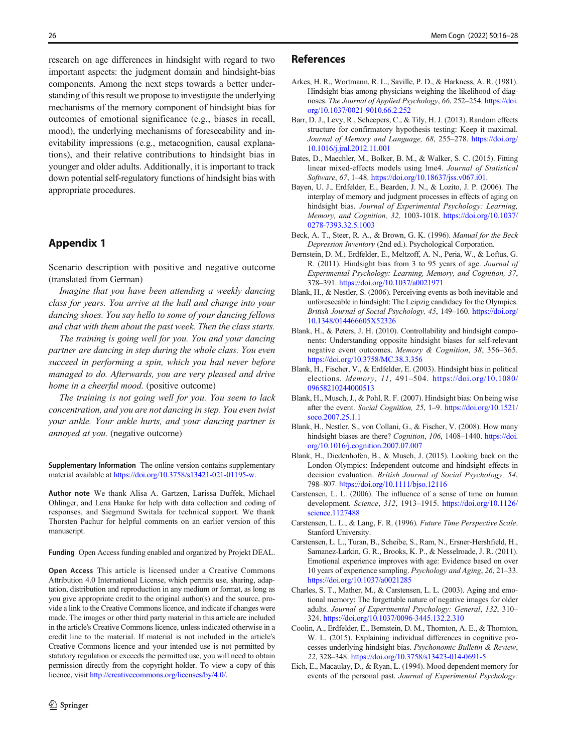<span id="page-10-0"></span>research on age differences in hindsight with regard to two important aspects: the judgment domain and hindsight-bias components. Among the next steps towards a better understanding of this result we propose to investigate the underlying mechanisms of the memory component of hindsight bias for outcomes of emotional significance (e.g., biases in recall, mood), the underlying mechanisms of foreseeability and inevitability impressions (e.g., metacognition, causal explanations), and their relative contributions to hindsight bias in younger and older adults. Additionally, it is important to track down potential self-regulatory functions of hindsight bias with appropriate procedures.

# Appendix 1

Scenario description with positive and negative outcome (translated from German)

Imagine that you have been attending a weekly dancing class for years. You arrive at the hall and change into your dancing shoes. You say hello to some of your dancing fellows and chat with them about the past week. Then the class starts.

The training is going well for you. You and your dancing partner are dancing in step during the whole class. You even succeed in performing a spin, which you had never before managed to do. Afterwards, you are very pleased and drive home in a cheerful mood. (positive outcome)

The training is not going well for you. You seem to lack concentration, and you are not dancing in step. You even twist your ankle. Your ankle hurts, and your dancing partner is annoyed at you. (negative outcome)

Supplementary Information The online version contains supplementary material available at <https://doi.org/10.3758/s13421-021-01195-w>.

Author note We thank Alisa A. Gartzen, Larissa Duffek, Michael Ohlinger, and Lena Hauke for help with data collection and coding of responses, and Siegmund Switala for technical support. We thank Thorsten Pachur for helpful comments on an earlier version of this manuscript.

Funding Open Access funding enabled and organized by Projekt DEAL.

Open Access This article is licensed under a Creative Commons Attribution 4.0 International License, which permits use, sharing, adaptation, distribution and reproduction in any medium or format, as long as you give appropriate credit to the original author(s) and the source, provide a link to the Creative Commons licence, and indicate if changes were made. The images or other third party material in this article are included in the article's Creative Commons licence, unless indicated otherwise in a credit line to the material. If material is not included in the article's Creative Commons licence and your intended use is not permitted by statutory regulation or exceeds the permitted use, you will need to obtain permission directly from the copyright holder. To view a copy of this licence, visit <http://creativecommons.org/licenses/by/4.0/>.

#### References

- Arkes, H. R., Wortmann, R. L., Saville, P. D., & Harkness, A. R. (1981). Hindsight bias among physicians weighing the likelihood of diagnoses. The Journal of Applied Psychology, 66, 252–254. [https://doi.](https://doi.org/10.1037/0021-9010.66.2.252) [org/10.1037/0021-9010.66.2.252](https://doi.org/10.1037/0021-9010.66.2.252)
- Barr, D. J., Levy, R., Scheepers, C., & Tily, H. J. (2013). Random effects structure for confirmatory hypothesis testing: Keep it maximal. Journal of Memory and Language, 68, 255–278. [https://doi.org/](https://doi.org/10.1016/j.jml.2012.11.001) [10.1016/j.jml.2012.11.001](https://doi.org/10.1016/j.jml.2012.11.001)
- Bates, D., Maechler, M., Bolker, B. M., & Walker, S. C. (2015). Fitting linear mixed-effects models using lme4. Journal of Statistical Software, 67, 1–48. [https://doi.org/10.18637/jss.v067.i01.](https://doi.org/10.18637/jss.v067.i01)
- Bayen, U. J., Erdfelder, E., Bearden, J. N., & Lozito, J. P. (2006). The interplay of memory and judgment processes in effects of aging on hindsight bias. Journal of Experimental Psychology: Learning, Memory, and Cognition, 32, 1003-1018. [https://doi.org/10.1037/](https://doi.org/10.1037/0278-7393.32.5.1003) [0278-7393.32.5.1003](https://doi.org/10.1037/0278-7393.32.5.1003)
- Beck, A. T., Steer, R. A., & Brown, G. K. (1996). Manual for the Beck Depression Inventory (2nd ed.). Psychological Corporation.
- Bernstein, D. M., Erdfelder, E., Meltzoff, A. N., Peria, W., & Loftus, G. R. (2011). Hindsight bias from 3 to 95 years of age. Journal of Experimental Psychology: Learning, Memory, and Cognition, 37, 378–391. <https://doi.org/10.1037/a0021971>
- Blank, H., & Nestler, S. (2006). Perceiving events as both inevitable and unforeseeable in hindsight: The Leipzig candidacy for the Olympics. British Journal of Social Psychology, 45, 149–160. [https://doi.org/](https://doi.org/10.1348/014466605X52326) [10.1348/014466605X52326](https://doi.org/10.1348/014466605X52326)
- Blank, H., & Peters, J. H. (2010). Controllability and hindsight components: Understanding opposite hindsight biases for self-relevant negative event outcomes. Memory & Cognition, 38, 356–365. <https://doi.org/10.3758/MC.38.3.356>
- Blank, H., Fischer, V., & Erdfelder, E. (2003). Hindsight bias in political elections. Memory, 11, 491–504. [https://doi.org/10.1080/](https://doi.org/10.1080/09658210244000513) [09658210244000513](https://doi.org/10.1080/09658210244000513)
- Blank, H., Musch, J., & Pohl, R. F. (2007). Hindsight bias: On being wise after the event. Social Cognition, 25, 1–9. [https://doi.org/10.1521/](https://doi.org/10.1521/soco.2007.25.1.1) [soco.2007.25.1.1](https://doi.org/10.1521/soco.2007.25.1.1)
- Blank, H., Nestler, S., von Collani, G., & Fischer, V. (2008). How many hindsight biases are there? Cognition, 106, 1408-1440. [https://doi.](https://doi.org/10.1016/j.cognition.2007.07.007) [org/10.1016/j.cognition.2007.07.007](https://doi.org/10.1016/j.cognition.2007.07.007)
- Blank, H., Diedenhofen, B., & Musch, J. (2015). Looking back on the London Olympics: Independent outcome and hindsight effects in decision evaluation. British Journal of Social Psychology, 54, 798–807. <https://doi.org/10.1111/bjso.12116>
- Carstensen, L. L. (2006). The influence of a sense of time on human development. Science, 312, 1913–1915. [https://doi.org/10.1126/](https://doi.org/10.1126/science.1127488) [science.1127488](https://doi.org/10.1126/science.1127488)
- Carstensen, L. L., & Lang, F. R. (1996). Future Time Perspective Scale. Stanford University.
- Carstensen, L. L., Turan, B., Scheibe, S., Ram, N., Ersner-Hershfield, H., Samanez-Larkin, G. R., Brooks, K. P., & Nesselroade, J. R. (2011). Emotional experience improves with age: Evidence based on over 10 years of experience sampling. Psychology and Aging, 26, 21–33. <https://doi.org/10.1037/a0021285>
- Charles, S. T., Mather, M., & Carstensen, L. L. (2003). Aging and emotional memory: The forgettable nature of negative images for older adults. Journal of Experimental Psychology: General, 132, 310– 324. <https://doi.org/10.1037/0096-3445.132.2.310>
- Coolin, A., Erdfelder, E., Bernstein, D. M., Thornton, A. E., & Thornton, W. L. (2015). Explaining individual differences in cognitive processes underlying hindsight bias. Psychonomic Bulletin & Review, 22, 328–348. <https://doi.org/10.3758/s13423-014-0691-5>
- Eich, E., Macaulay, D., & Ryan, L. (1994). Mood dependent memory for events of the personal past. Journal of Experimental Psychology: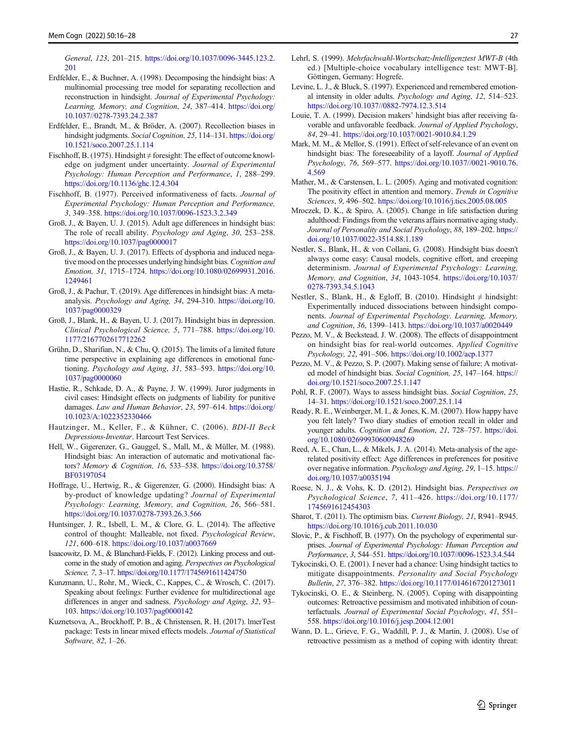<span id="page-11-0"></span>General, 123, 201–215. [https://doi.org/10.1037/0096-3445.123.2.](https://doi.org/10.1037/0096-3445.123.2.201) [201](https://doi.org/10.1037/0096-3445.123.2.201)

- Erdfelder, E., & Buchner, A. (1998). Decomposing the hindsight bias: A multinomial processing tree model for separating recollection and reconstruction in hindsight. Journal of Experimental Psychology: Learning, Memory, and Cognition, 24, 387–414. [https://doi.org/](https://doi.org/10.1037//0278-7393.24.2.387) [10.1037//0278-7393.24.2.387](https://doi.org/10.1037//0278-7393.24.2.387)
- Erdfelder, E., Brandt, M., & Bröder, A. (2007). Recollection biases in hindsight judgments. Social Cognition, 25, 114-131. [https://doi.org/](https://doi.org/10.1521/soco.2007.25.1.114) [10.1521/soco.2007.25.1.114](https://doi.org/10.1521/soco.2007.25.1.114)
- Fischhoff, B. (1975). Hindsight ≠ foresight: The effect of outcome knowledge on judgment under uncertainty. Journal of Experimental Psychology: Human Perception and Performance, 1, 288–299. <https://doi.org/10.1136/ghc.12.4.304>
- Fischhoff, B. (1977). Perceived informativeness of facts. Journal of Experimental Psychology: Human Perception and Performance, 3, 349–358. <https://doi.org/10.1037/0096-1523.3.2.349>
- Groß, J., & Bayen, U. J. (2015). Adult age differences in hindsight bias: The role of recall ability. Psychology and Aging, 30, 253–258. <https://doi.org/10.1037/pag0000017>
- Groß, J., & Bayen, U. J. (2017). Effects of dysphoria and induced negative mood on the processes underlying hindsight bias. Cognition and Emotion, 31, 1715–1724. [https://doi.org/10.1080/02699931.2016.](https://doi.org/10.1080/02699931.2016.1249461) [1249461](https://doi.org/10.1080/02699931.2016.1249461)
- Groß, J., & Pachur, T. (2019). Age differences in hindsight bias: A metaanalysis. Psychology and Aging, 34, 294-310. [https://doi.org/10.](https://doi.org/10.1037/pag0000329) [1037/pag0000329](https://doi.org/10.1037/pag0000329)
- Groß, J., Blank, H., & Bayen, U. J. (2017). Hindsight bias in depression. Clinical Psychological Science, 5, 771–788. [https://doi.org/10.](https://doi.org/10.1177/2167702617712262) [1177/2167702617712262](https://doi.org/10.1177/2167702617712262)
- Grühn, D., Sharifian, N., & Chu, Q. (2015). The limits of a limited future time perspective in explaining age differences in emotional functioning. Psychology and Aging, 31, 583–593. [https://doi.org/10.](https://doi.org/10.1037/pag0000060) [1037/pag0000060](https://doi.org/10.1037/pag0000060)
- Hastie, R., Schkade, D. A., & Payne, J. W. (1999). Juror judgments in civil cases: Hindsight effects on judgments of liability for punitive damages. Law and Human Behavior, 23, 597-614. [https://doi.org/](https://doi.org/10.1023/A:1022352330466) [10.1023/A:1022352330466](https://doi.org/10.1023/A:1022352330466)
- Hautzinger, M., Keller, F., & Kühner, C. (2006). BDI-II Beck Depressions-Inventar. Harcourt Test Services.
- Hell, W., Gigerenzer, G., Gauggel, S., Mall, M., & Müller, M. (1988). Hindsight bias: An interaction of automatic and motivational factors? Memory & Cognition, 16, 533–538. [https://doi.org/10.3758/](https://doi.org/10.3758/BF03197054) [BF03197054](https://doi.org/10.3758/BF03197054)
- Hoffrage, U., Hertwig, R., & Gigerenzer, G. (2000). Hindsight bias: A by-product of knowledge updating? Journal of Experimental Psychology: Learning, Memory, and Cognition, 26, 566–581. <https://doi.org/10.1037/0278-7393.26.3.566>
- Huntsinger, J. R., Isbell, L. M., & Clore, G. L. (2014). The affective control of thought: Malleable, not fixed. Psychological Review, 121, 600–618. <https://doi.org/10.1037/a0037669>
- Isaacowitz, D. M., & Blanchard-Fields, F. (2012). Linking process and outcome in the study of emotion and aging. Perspectives on Psychological Science, 7, 3-17. <https://doi.org/10.1177/1745691611424750>
- Kunzmann, U., Rohr, M., Wieck, C., Kappes, C., & Wrosch, C. (2017). Speaking about feelings: Further evidence for multidirectional age differences in anger and sadness. Psychology and Aging, 32, 93– 103. <https://doi.org/10.1037/pag0000142>
- Kuznetsova, A., Brockhoff, P. B., & Christensen, R. H. (2017). lmerTest package: Tests in linear mixed effects models. Journal of Statistical Software, 82, 1–26.
- Lehrl, S. (1999). Mehrfachwahl-Wortschatz-Intelligenztest MWT-B (4th ed.) [Multiple-choice vocabulary intelligence test: MWT-B]. Göttingen, Germany: Hogrefe.
- Levine, L. J., & Bluck, S. (1997). Experienced and remembered emotional intensity in older adults. Psychology and Aging, 12, 514–523. <https://doi.org/10.1037//0882-7974.12.3.514>
- Louie, T. A. (1999). Decision makers' hindsight bias after receiving favorable and unfavorable feedback. Journal of Applied Psychology, 84, 29–41. <https://doi.org/10.1037/0021-9010.84.1.29>
- Mark, M. M., & Mellor, S. (1991). Effect of self-relevance of an event on hindsight bias: The foreseeability of a layoff. Journal of Applied Psychology, 76, 569–577. [https://doi.org/10.1037//0021-9010.76.](https://doi.org/10.1037//0021-9010.76.4.569) [4.569](https://doi.org/10.1037//0021-9010.76.4.569)
- Mather, M., & Carstensen, L. L. (2005). Aging and motivated cognition: The positivity effect in attention and memory. Trends in Cognitive Sciences, 9, 496–502. <https://doi.org/10.1016/j.tics.2005.08.005>
- Mroczek, D. K., & Spiro, A. (2005). Change in life satisfaction during adulthood: Findings from the veterans affairs normative aging study. Journal of Personality and Social Psychology, 88, 189-202. [https://](https://doi.org/10.1037/0022-3514.88.1.189) [doi.org/10.1037/0022-3514.88.1.189](https://doi.org/10.1037/0022-3514.88.1.189)
- Nestler, S., Blank, H., & von Collani, G. (2008). Hindsight bias doesn't always come easy: Causal models, cognitive effort, and creeping determinism. Journal of Experimental Psychology: Learning, Memory, and Cognition, 34, 1043-1054. [https://doi.org/10.1037/](https://doi.org/10.1037/0278-7393.34.5.1043) [0278-7393.34.5.1043](https://doi.org/10.1037/0278-7393.34.5.1043)
- Nestler, S., Blank, H., & Egloff, B. (2010). Hindsight  $\neq$  hindsight: Experimentally induced dissociations between hindsight components. Journal of Experimental Psychology. Learning, Memory, and Cognition, 36, 1399–1413. <https://doi.org/10.1037/a0020449>
- Pezzo, M. V., & Beckstead, J. W. (2008). The effects of disappointment on hindsight bias for real-world outcomes. Applied Cognitive Psychology, 22, 491–506. <https://doi.org/10.1002/acp.1377>
- Pezzo, M. V., & Pezzo, S. P. (2007). Making sense of failure: A motivated model of hindsight bias. Social Cognition, 25, 147–164. [https://](https://doi.org/10.1521/soco.2007.25.1.147) [doi.org/10.1521/soco.2007.25.1.147](https://doi.org/10.1521/soco.2007.25.1.147)
- Pohl, R. F. (2007). Ways to assess hindsight bias. Social Cognition, 25, 14–31. <https://doi.org/10.1521/soco.2007.25.1.14>
- Ready, R. E., Weinberger, M. I., & Jones, K. M. (2007). How happy have you felt lately? Two diary studies of emotion recall in older and younger adults. Cognition and Emotion, 21, 728-757. [https://doi.](https://doi.org/10.1080/02699930600948269) [org/10.1080/02699930600948269](https://doi.org/10.1080/02699930600948269)
- Reed, A. E., Chan, L., & Mikels, J. A. (2014). Meta-analysis of the agerelated positivity effect: Age differences in preferences for positive over negative information. Psychology and Aging, 29, 1–15. [https://](https://doi.org/10.1037/a0035194) [doi.org/10.1037/a0035194](https://doi.org/10.1037/a0035194)
- Roese, N. J., & Vohs, K. D. (2012). Hindsight bias. Perspectives on Psychological Science, 7, 411–426. [https://doi.org/10.1177/](https://doi.org/10.1177/1745691612454303) [1745691612454303](https://doi.org/10.1177/1745691612454303)
- Sharot, T. (2011). The optimism bias. Current Biology, 21, R941–R945. <https://doi.org/10.1016/j.cub.2011.10.030>
- Slovic, P., & Fischhoff, B. (1977). On the psychology of experimental surprises. Journal of Experimental Psychology: Human Perception and Performance, 3, 544–551. <https://doi.org/10.1037//0096-1523.3.4.544>
- Tykocinski, O. E. (2001). I never had a chance: Using hindsight tactics to mitigate disappointments. Personality and Social Psychology Bulletin, 27, 376–382. <https://doi.org/10.1177/0146167201273011>
- Tykocinski, O. E., & Steinberg, N. (2005). Coping with disappointing outcomes: Retroactive pessimism and motivated inhibition of counterfactuals. Journal of Experimental Social Psychology, 41, 551– 558. <https://doi.org/10.1016/j.jesp.2004.12.001>
- Wann, D. L., Grieve, F. G., Waddill, P. J., & Martin, J. (2008). Use of retroactive pessimism as a method of coping with identity threat: